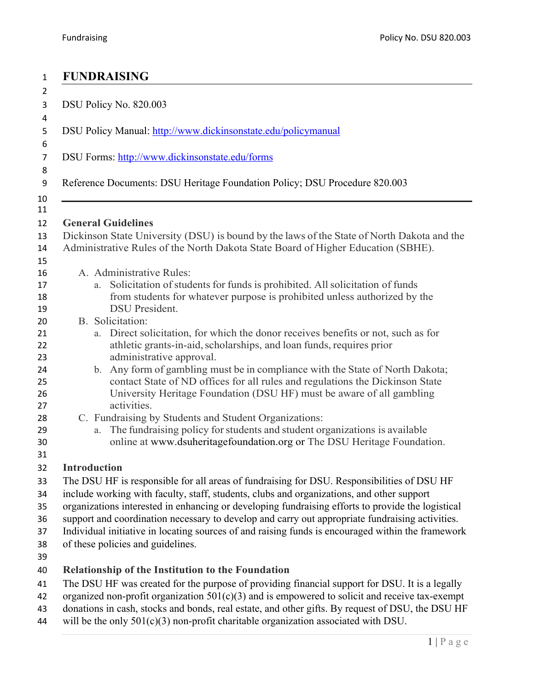| $\mathbf{1}$             | <b>FUNDRAISING</b>                                                                                                                                                                                                                      |
|--------------------------|-----------------------------------------------------------------------------------------------------------------------------------------------------------------------------------------------------------------------------------------|
| $\overline{2}$           |                                                                                                                                                                                                                                         |
| 3                        | DSU Policy No. 820.003                                                                                                                                                                                                                  |
| 4<br>5                   | DSU Policy Manual: http://www.dickinsonstate.edu/policymanual                                                                                                                                                                           |
| 6<br>$\overline{7}$<br>8 | DSU Forms: http://www.dickinsonstate.edu/forms                                                                                                                                                                                          |
| 9<br>10                  | Reference Documents: DSU Heritage Foundation Policy; DSU Procedure 820.003                                                                                                                                                              |
| 11                       |                                                                                                                                                                                                                                         |
| 12                       | <b>General Guidelines</b>                                                                                                                                                                                                               |
| 13<br>14                 | Dickinson State University (DSU) is bound by the laws of the State of North Dakota and the<br>Administrative Rules of the North Dakota State Board of Higher Education (SBHE).                                                          |
| 15                       |                                                                                                                                                                                                                                         |
| 16                       | A. Administrative Rules:                                                                                                                                                                                                                |
| 17<br>18<br>19           | Solicitation of students for funds is prohibited. All solicitation of funds<br>a.<br>from students for whatever purpose is prohibited unless authorized by the<br><b>DSU</b> President.                                                 |
| 20                       | B. Solicitation:                                                                                                                                                                                                                        |
| 21<br>22                 | a. Direct solicitation, for which the donor receives benefits or not, such as for<br>athletic grants-in-aid, scholarships, and loan funds, requires prior                                                                               |
| 23                       | administrative approval.                                                                                                                                                                                                                |
| 24<br>25<br>26           | b. Any form of gambling must be in compliance with the State of North Dakota;<br>contact State of ND offices for all rules and regulations the Dickinson State<br>University Heritage Foundation (DSU HF) must be aware of all gambling |
| 27                       | activities.                                                                                                                                                                                                                             |
| 28                       | C. Fundraising by Students and Student Organizations:                                                                                                                                                                                   |
| 29<br>30                 | The fundraising policy for students and student organizations is available<br>a.<br>online at www.dsuheritagefoundation.org or The DSU Heritage Foundation.                                                                             |
| 31                       |                                                                                                                                                                                                                                         |
| 32                       | <b>Introduction</b>                                                                                                                                                                                                                     |
| 33                       | The DSU HF is responsible for all areas of fundraising for DSU. Responsibilities of DSU HF                                                                                                                                              |
| 34                       | include working with faculty, staff, students, clubs and organizations, and other support                                                                                                                                               |
| 35                       | organizations interested in enhancing or developing fundraising efforts to provide the logistical                                                                                                                                       |
| 36                       | support and coordination necessary to develop and carry out appropriate fundraising activities.                                                                                                                                         |
| 37                       | Individual initiative in locating sources of and raising funds is encouraged within the framework                                                                                                                                       |
| 38<br>39                 | of these policies and guidelines.                                                                                                                                                                                                       |

- **Relationship of the Institution to the Foundation**
- The DSU HF was created for the purpose of providing financial support for DSU. It is a legally
- 42 organized non-profit organization  $501(c)(3)$  and is empowered to solicit and receive tax-exempt
- donations in cash, stocks and bonds, real estate, and other gifts. By request of DSU, the DSU HF
- will be the only 501(c)(3) non-profit charitable organization associated with DSU.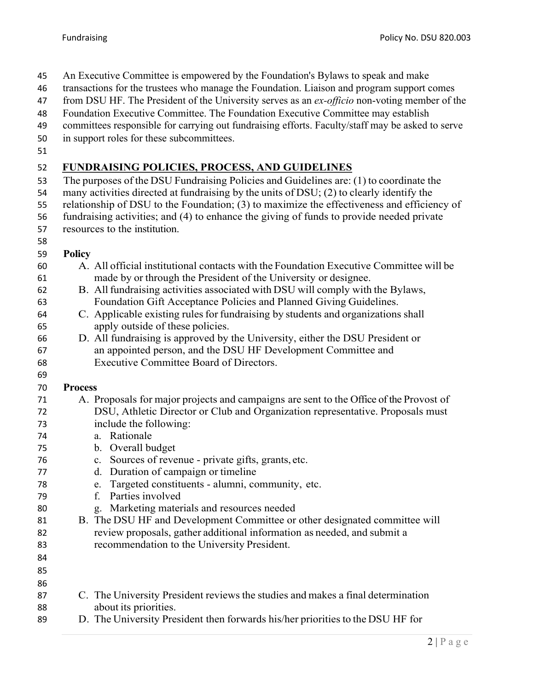- An Executive Committee is empowered by the Foundation's Bylaws to speak and make
- transactions for the trustees who manage the Foundation. Liaison and program support comes
- from DSU HF. The President of the University serves as an *ex-officio* non-voting member of the
- Foundation Executive Committee. The Foundation Executive Committee may establish
- committees responsible for carrying out fundraising efforts. Faculty/staff may be asked to serve
- in support roles for these subcommittees.
- 

# **FUNDRAISING POLICIES, PROCESS, AND GUIDELINES**

- The purposes of the DSU Fundraising Policies and Guidelines are: (1) to coordinate the
- many activities directed at fundraising by the units of DSU; (2) to clearly identify the
- relationship of DSU to the Foundation; (3) to maximize the effectiveness and efficiency of
- fundraising activities; and (4) to enhance the giving of funds to provide needed private
- resources to the institution.

# **Policy**

- A. All official institutional contacts with the Foundation Executive Committee will be made by or through the President of the University or designee.
- B. All fundraising activities associated with DSU will comply with the Bylaws, Foundation Gift Acceptance Policies and Planned Giving Guidelines.
- C. Applicable existing rulesfor fundraising by students and organizations shall apply outside of these policies.
- D. All fundraising is approved by the University, either the DSU President or an appointed person, and the DSU HF Development Committee and
- Executive Committee Board of Directors.

#### **Process**

- A. Proposals for major projects and campaigns are sent to the Office of the Provost of DSU, Athletic Director or Club and Organization representative. Proposals must include the following:
- a. Rationale
- b. Overall budget
- c. Sources of revenue private gifts, grants, etc.
- d. Duration of campaign or timeline
- e. Targeted constituents alumni, community, etc.
- f. Parties involved
- g. Marketing materials and resources needed
- B. The DSU HF and Development Committee or other designated committee will review proposals, gather additional information as needed, and submit a recommendation to the University President.
- 
- 
- 
- C. The University President reviews the studies and makes a final determination about its priorities.
- D. The University President then forwards his/her priorities to the DSU HF for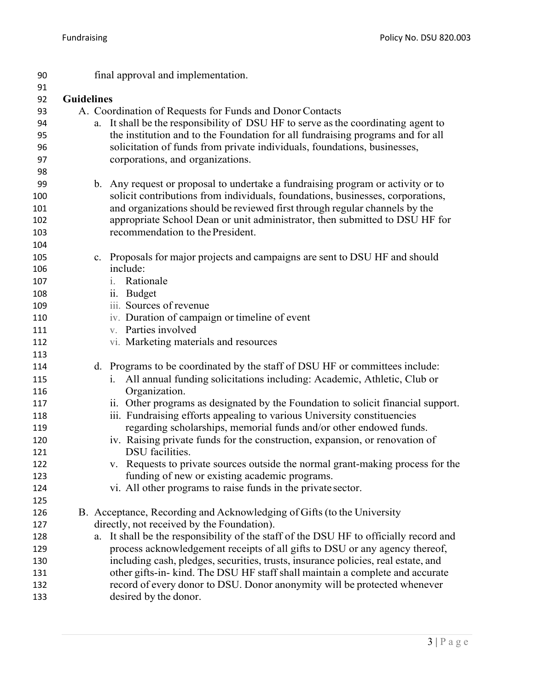| 90         | final approval and implementation.                                                             |
|------------|------------------------------------------------------------------------------------------------|
| 91         |                                                                                                |
| 92         | <b>Guidelines</b>                                                                              |
| 93         | A. Coordination of Requests for Funds and Donor Contacts                                       |
| 94         | It shall be the responsibility of DSU HF to serve as the coordinating agent to<br>a.           |
| 95         | the institution and to the Foundation for all fundraising programs and for all                 |
| 96         | solicitation of funds from private individuals, foundations, businesses,                       |
| 97         | corporations, and organizations.                                                               |
| 98         |                                                                                                |
| 99         | b. Any request or proposal to undertake a fundraising program or activity or to                |
| 100        | solicit contributions from individuals, foundations, businesses, corporations,                 |
| 101        | and organizations should be reviewed first through regular channels by the                     |
| 102        | appropriate School Dean or unit administrator, then submitted to DSU HF for                    |
| 103        | recommendation to the President.                                                               |
| 104        |                                                                                                |
| 105        | c. Proposals for major projects and campaigns are sent to DSU HF and should                    |
| 106        | include:                                                                                       |
| 107        | Rationale<br>$\mathbf{i}$ .                                                                    |
| 108        | ii. Budget                                                                                     |
| 109        | iii. Sources of revenue                                                                        |
| 110        | iv. Duration of campaign or timeline of event                                                  |
| 111        | v. Parties involved                                                                            |
| 112        | vi. Marketing materials and resources                                                          |
| 113        |                                                                                                |
| 114        | d. Programs to be coordinated by the staff of DSU HF or committees include:                    |
| 115        | All annual funding solicitations including: Academic, Athletic, Club or<br>1.                  |
| 116        | Organization.                                                                                  |
| 117        | ii. Other programs as designated by the Foundation to solicit financial support.               |
| 118        | iii. Fundraising efforts appealing to various University constituencies                        |
| 119        | regarding scholarships, memorial funds and/or other endowed funds.                             |
| 120        | iv. Raising private funds for the construction, expansion, or renovation of<br>DSU facilities. |
| 121<br>122 | v. Requests to private sources outside the normal grant-making process for the                 |
| 123        | funding of new or existing academic programs.                                                  |
| 124        | vi. All other programs to raise funds in the private sector.                                   |
| 125        |                                                                                                |
| 126        | B. Acceptance, Recording and Acknowledging of Gifts (to the University                         |
| 127        | directly, not received by the Foundation).                                                     |
| 128        | a. It shall be the responsibility of the staff of the DSU HF to officially record and          |
| 129        | process acknowledgement receipts of all gifts to DSU or any agency thereof,                    |
| 130        | including cash, pledges, securities, trusts, insurance policies, real estate, and              |
| 131        | other gifts-in- kind. The DSU HF staff shall maintain a complete and accurate                  |
| 132        | record of every donor to DSU. Donor anonymity will be protected whenever                       |
| 133        | desired by the donor.                                                                          |
|            |                                                                                                |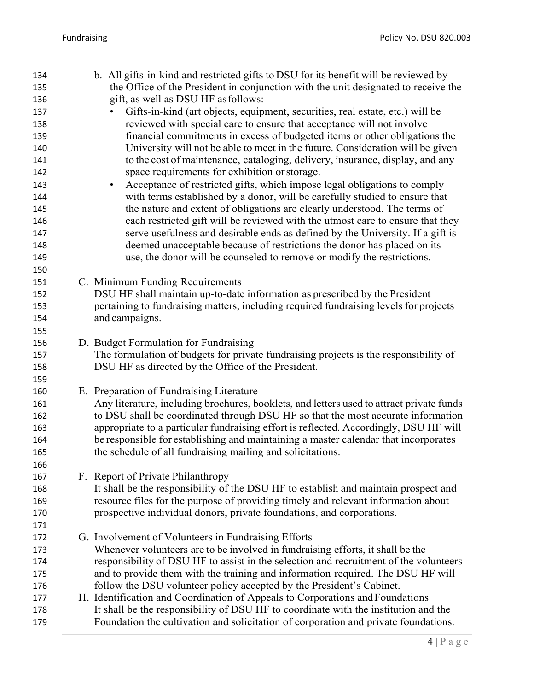| 134 | b. All gifts-in-kind and restricted gifts to DSU for its benefit will be reviewed by     |
|-----|------------------------------------------------------------------------------------------|
| 135 | the Office of the President in conjunction with the unit designated to receive the       |
| 136 | gift, as well as DSU HF as follows:                                                      |
| 137 | Gifts-in-kind (art objects, equipment, securities, real estate, etc.) will be            |
| 138 | reviewed with special care to ensure that acceptance will not involve                    |
| 139 | financial commitments in excess of budgeted items or other obligations the               |
| 140 | University will not be able to meet in the future. Consideration will be given           |
| 141 | to the cost of maintenance, cataloging, delivery, insurance, display, and any            |
| 142 | space requirements for exhibition or storage.                                            |
| 143 | Acceptance of restricted gifts, which impose legal obligations to comply                 |
| 144 | with terms established by a donor, will be carefully studied to ensure that              |
| 145 | the nature and extent of obligations are clearly understood. The terms of                |
| 146 | each restricted gift will be reviewed with the utmost care to ensure that they           |
| 147 | serve usefulness and desirable ends as defined by the University. If a gift is           |
| 148 | deemed unacceptable because of restrictions the donor has placed on its                  |
| 149 | use, the donor will be counseled to remove or modify the restrictions.                   |
| 150 |                                                                                          |
| 151 | C. Minimum Funding Requirements                                                          |
| 152 | DSU HF shall maintain up-to-date information as prescribed by the President              |
| 153 | pertaining to fundraising matters, including required fundraising levels for projects    |
| 154 | and campaigns.                                                                           |
| 155 |                                                                                          |
| 156 | D. Budget Formulation for Fundraising                                                    |
| 157 | The formulation of budgets for private fundraising projects is the responsibility of     |
| 158 | DSU HF as directed by the Office of the President.                                       |
| 159 |                                                                                          |
| 160 | E. Preparation of Fundraising Literature                                                 |
| 161 | Any literature, including brochures, booklets, and letters used to attract private funds |
| 162 | to DSU shall be coordinated through DSU HF so that the most accurate information         |
| 163 | appropriate to a particular fundraising effort is reflected. Accordingly, DSU HF will    |
| 164 | be responsible for establishing and maintaining a master calendar that incorporates      |
| 165 | the schedule of all fundraising mailing and solicitations.                               |
| 166 |                                                                                          |
| 167 | F. Report of Private Philanthropy                                                        |
| 168 | It shall be the responsibility of the DSU HF to establish and maintain prospect and      |
| 169 | resource files for the purpose of providing timely and relevant information about        |
| 170 | prospective individual donors, private foundations, and corporations.                    |
| 171 |                                                                                          |
| 172 | G. Involvement of Volunteers in Fundraising Efforts                                      |
| 173 | Whenever volunteers are to be involved in fundraising efforts, it shall be the           |
| 174 | responsibility of DSU HF to assist in the selection and recruitment of the volunteers    |
| 175 | and to provide them with the training and information required. The DSU HF will          |
| 176 | follow the DSU volunteer policy accepted by the President's Cabinet.                     |
| 177 | H. Identification and Coordination of Appeals to Corporations and Foundations            |
| 178 | It shall be the responsibility of DSU HF to coordinate with the institution and the      |
| 179 | Foundation the cultivation and solicitation of corporation and private foundations.      |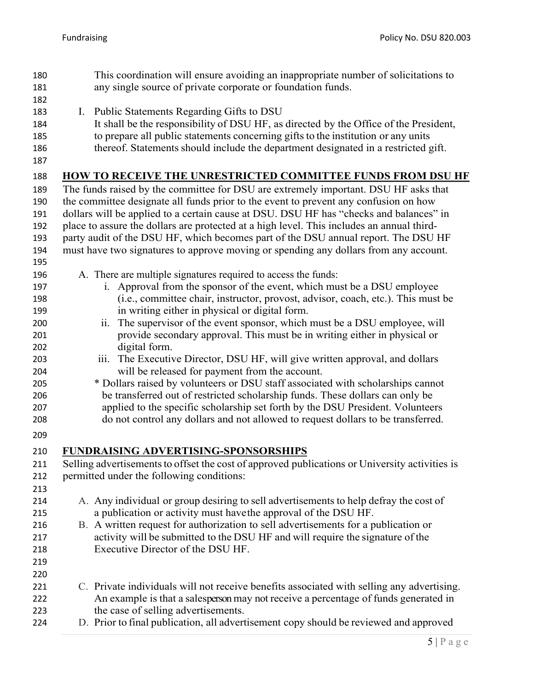| 180<br>181 | This coordination will ensure avoiding an inappropriate number of solicitations to<br>any single source of private corporate or foundation funds. |
|------------|---------------------------------------------------------------------------------------------------------------------------------------------------|
| 182        |                                                                                                                                                   |
| 183<br>184 | I. Public Statements Regarding Gifts to DSU<br>It shall be the responsibility of DSU HF, as directed by the Office of the President,              |
| 185        | to prepare all public statements concerning gifts to the institution or any units                                                                 |
| 186        | thereof. Statements should include the department designated in a restricted gift.                                                                |
| 187        |                                                                                                                                                   |
| 188        | <b>HOW TO RECEIVE THE UNRESTRICTED COMMITTEE FUNDS FROM DSU HF</b>                                                                                |
| 189        | The funds raised by the committee for DSU are extremely important. DSU HF asks that                                                               |
| 190        | the committee designate all funds prior to the event to prevent any confusion on how                                                              |
| 191        | dollars will be applied to a certain cause at DSU. DSU HF has "checks and balances" in                                                            |
| 192        | place to assure the dollars are protected at a high level. This includes an annual third-                                                         |
| 193        | party audit of the DSU HF, which becomes part of the DSU annual report. The DSU HF                                                                |
| 194        | must have two signatures to approve moving or spending any dollars from any account.                                                              |
| 195<br>196 | A. There are multiple signatures required to access the funds:                                                                                    |
| 197        | i. Approval from the sponsor of the event, which must be a DSU employee                                                                           |
| 198        | (i.e., committee chair, instructor, provost, advisor, coach, etc.). This must be                                                                  |
| 199        | in writing either in physical or digital form.                                                                                                    |
| 200        | ii. The supervisor of the event sponsor, which must be a DSU employee, will                                                                       |
| 201        | provide secondary approval. This must be in writing either in physical or                                                                         |
| 202        | digital form.                                                                                                                                     |
| 203        | The Executive Director, DSU HF, will give written approval, and dollars<br>$\overline{111}$ .                                                     |
| 204        | will be released for payment from the account.                                                                                                    |
| 205        | * Dollars raised by volunteers or DSU staff associated with scholarships cannot                                                                   |
| 206        | be transferred out of restricted scholarship funds. These dollars can only be                                                                     |
| 207        | applied to the specific scholarship set forth by the DSU President. Volunteers                                                                    |
| 208        | do not control any dollars and not allowed to request dollars to be transferred.                                                                  |
| 209        |                                                                                                                                                   |
| 210        | <b>FUNDRAISING ADVERTISING-SPONSORSHIPS</b>                                                                                                       |
| 211        | Selling advertisements to offset the cost of approved publications or University activities is                                                    |
| 212        | permitted under the following conditions:                                                                                                         |
| 213        |                                                                                                                                                   |
| 214        | A. Any individual or group desiring to sell advertisements to help defray the cost of                                                             |
| 215        | a publication or activity must have the approval of the DSU HF.                                                                                   |
| 216        | B. A written request for authorization to sell advertisements for a publication or                                                                |
| 217<br>218 | activity will be submitted to the DSU HF and will require the signature of the<br>Executive Director of the DSU HF.                               |
|            |                                                                                                                                                   |
| 219        |                                                                                                                                                   |
| 220<br>221 | C. Private individuals will not receive benefits associated with selling any advertising.                                                         |
| 222        | An example is that a salesperson may not receive a percentage of funds generated in                                                               |
| 223        | the case of selling advertisements.                                                                                                               |
| 224        | D. Prior to final publication, all advertisement copy should be reviewed and approved                                                             |
|            |                                                                                                                                                   |